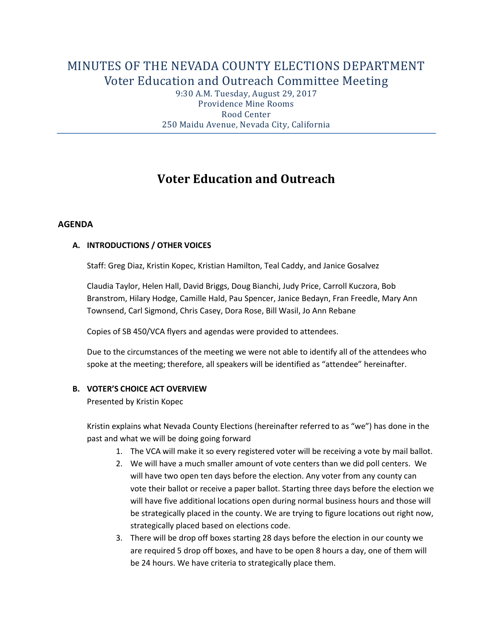# MINUTES OF THE NEVADA COUNTY ELECTIONS DEPARTMENT Voter Education and Outreach Committee Meeting

9:30 A.M. Tuesday, August 29, 2017 Providence Mine Rooms Rood Center 250 Maidu Avenue, Nevada City, California

## **Voter Education and Outreach**

#### **AGENDA**

#### **A. INTRODUCTIONS / OTHER VOICES**

Staff: Greg Diaz, Kristin Kopec, Kristian Hamilton, Teal Caddy, and Janice Gosalvez

Claudia Taylor, Helen Hall, David Briggs, Doug Bianchi, Judy Price, Carroll Kuczora, Bob Branstrom, Hilary Hodge, Camille Hald, Pau Spencer, Janice Bedayn, Fran Freedle, Mary Ann Townsend, Carl Sigmond, Chris Casey, Dora Rose, Bill Wasil, Jo Ann Rebane

Copies of SB 450/VCA flyers and agendas were provided to attendees.

Due to the circumstances of the meeting we were not able to identify all of the attendees who spoke at the meeting; therefore, all speakers will be identified as "attendee" hereinafter.

#### **B. VOTER'S CHOICE ACT OVERVIEW**

Presented by Kristin Kopec

Kristin explains what Nevada County Elections (hereinafter referred to as "we") has done in the past and what we will be doing going forward

- 1. The VCA will make it so every registered voter will be receiving a vote by mail ballot.
- 2. We will have a much smaller amount of vote centers than we did poll centers. We will have two open ten days before the election. Any voter from any county can vote their ballot or receive a paper ballot. Starting three days before the election we will have five additional locations open during normal business hours and those will be strategically placed in the county. We are trying to figure locations out right now, strategically placed based on elections code.
- 3. There will be drop off boxes starting 28 days before the election in our county we are required 5 drop off boxes, and have to be open 8 hours a day, one of them will be 24 hours. We have criteria to strategically place them.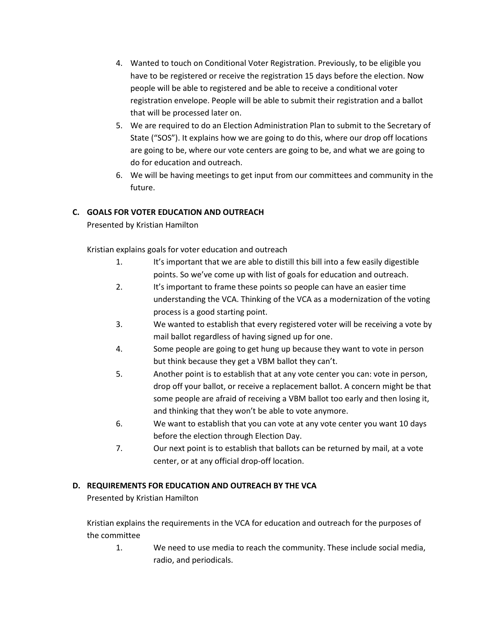- 4. Wanted to touch on Conditional Voter Registration. Previously, to be eligible you have to be registered or receive the registration 15 days before the election. Now people will be able to registered and be able to receive a conditional voter registration envelope. People will be able to submit their registration and a ballot that will be processed later on.
- 5. We are required to do an Election Administration Plan to submit to the Secretary of State ("SOS"). It explains how we are going to do this, where our drop off locations are going to be, where our vote centers are going to be, and what we are going to do for education and outreach.
- 6. We will be having meetings to get input from our committees and community in the future.

## **C. GOALS FOR VOTER EDUCATION AND OUTREACH**

Presented by Kristian Hamilton

Kristian explains goals for voter education and outreach

- 1. It's important that we are able to distill this bill into a few easily digestible points. So we've come up with list of goals for education and outreach.
- 2. It's important to frame these points so people can have an easier time understanding the VCA. Thinking of the VCA as a modernization of the voting process is a good starting point.
- 3. We wanted to establish that every registered voter will be receiving a vote by mail ballot regardless of having signed up for one.
- 4. Some people are going to get hung up because they want to vote in person but think because they get a VBM ballot they can't.
- 5. Another point is to establish that at any vote center you can: vote in person, drop off your ballot, or receive a replacement ballot. A concern might be that some people are afraid of receiving a VBM ballot too early and then losing it, and thinking that they won't be able to vote anymore.
- 6. We want to establish that you can vote at any vote center you want 10 days before the election through Election Day.
- 7. Our next point is to establish that ballots can be returned by mail, at a vote center, or at any official drop-off location.

## **D. REQUIREMENTS FOR EDUCATION AND OUTREACH BY THE VCA**

Presented by Kristian Hamilton

Kristian explains the requirements in the VCA for education and outreach for the purposes of the committee

1. We need to use media to reach the community. These include social media, radio, and periodicals.